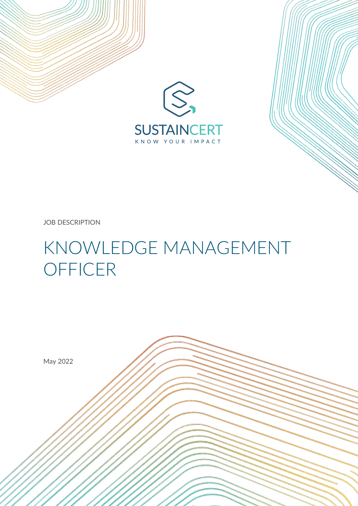



JOB DESCRIPTION

# KNOWLEDGE MANAGEMENT **OFFICER**

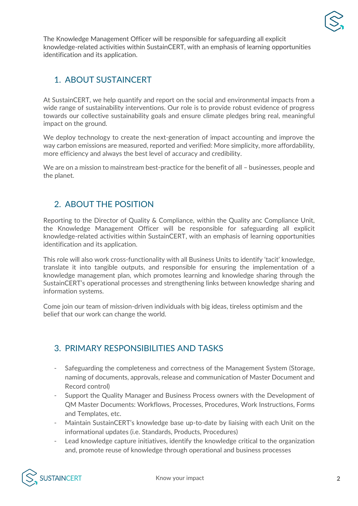

The Knowledge Management Officer will be responsible for safeguarding all explicit knowledge-related activities within SustainCERT, with an emphasis of learning opportunities identification and its application.

### 1. ABOUT SUSTAINCERT

At SustainCERT, we help quantify and report on the social and environmental impacts from a wide range of sustainability interventions. Our role is to provide robust evidence of progress towards our collective sustainability goals and ensure climate pledges bring real, meaningful impact on the ground.

We deploy technology to create the next-generation of impact accounting and improve the way carbon emissions are measured, reported and verified: More simplicity, more affordability, more efficiency and always the best level of accuracy and credibility.

We are on a mission to mainstream best-practice for the benefit of all - businesses, people and the planet.

## 2. ABOUT THE POSITION

Reporting to the Director of Quality & Compliance, within the Quality anc Compliance Unit, the Knowledge Management Officer will be responsible for safeguarding all explicit knowledge-related activities within SustainCERT, with an emphasis of learning opportunities identification and its application.

This role will also work cross-functionality with all Business Units to identify 'tacit' knowledge, translate it into tangible outputs, and responsible for ensuring the implementation of a knowledge management plan, which promotes learning and knowledge sharing through the SustainCERT's operational processes and strengthening links between knowledge sharing and information systems.

Come join our team of mission-driven individuals with big ideas, tireless optimism and the belief that our work can change the world.

#### 3. PRIMARY RESPONSIBILITIES AND TASKS

- Safeguarding the completeness and correctness of the Management System (Storage, naming of documents, approvals, release and communication of Master Document and Record control)
- Support the Quality Manager and Business Process owners with the Development of QM Master Documents: Workflows, Processes, Procedures, Work Instructions, Forms and Templates, etc.
- Maintain SustainCERT's knowledge base up-to-date by liaising with each Unit on the informational updates (i.e. Standards, Products, Procedures)
- Lead knowledge capture initiatives, identify the knowledge critical to the organization and, promote reuse of knowledge through operational and business processes